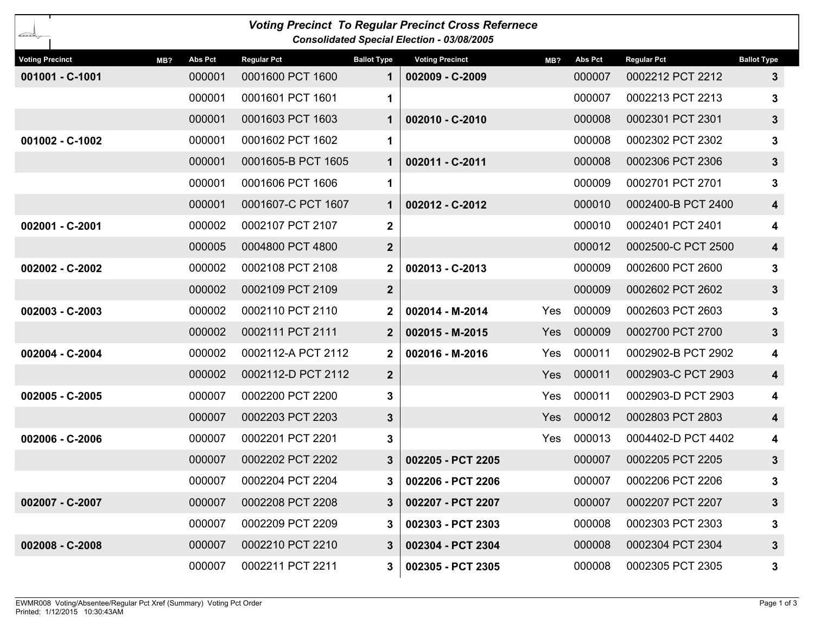| <b>Voting Precinct To Regular Precinct Cross Refernece</b><br>---<br><b>Consolidated Special Election - 03/08/2005</b> |                |                    |                    |                        |            |                |                    |                         |
|------------------------------------------------------------------------------------------------------------------------|----------------|--------------------|--------------------|------------------------|------------|----------------|--------------------|-------------------------|
| <b>Voting Precinct</b><br>MB?                                                                                          | <b>Abs Pct</b> | <b>Regular Pct</b> | <b>Ballot Type</b> | <b>Voting Precinct</b> | MB?        | <b>Abs Pct</b> | <b>Regular Pct</b> | <b>Ballot Type</b>      |
| 001001 - C-1001                                                                                                        | 000001         | 0001600 PCT 1600   | $\mathbf 1$        | 002009 - C-2009        |            | 000007         | 0002212 PCT 2212   | 3                       |
|                                                                                                                        | 000001         | 0001601 PCT 1601   | 1                  |                        |            | 000007         | 0002213 PCT 2213   | 3                       |
|                                                                                                                        | 000001         | 0001603 PCT 1603   | 1                  | 002010 - C-2010        |            | 000008         | 0002301 PCT 2301   | $\mathbf{3}$            |
| 001002 - C-1002                                                                                                        | 000001         | 0001602 PCT 1602   | 1                  |                        |            | 000008         | 0002302 PCT 2302   | 3                       |
|                                                                                                                        | 000001         | 0001605-B PCT 1605 | $\mathbf 1$        | 002011 - C-2011        |            | 000008         | 0002306 PCT 2306   | $\mathbf{3}$            |
|                                                                                                                        | 000001         | 0001606 PCT 1606   | 1                  |                        |            | 000009         | 0002701 PCT 2701   | 3                       |
|                                                                                                                        | 000001         | 0001607-C PCT 1607 | $\mathbf 1$        | 002012 - C-2012        |            | 000010         | 0002400-B PCT 2400 | $\overline{\mathbf{4}}$ |
| 002001 - C-2001                                                                                                        | 000002         | 0002107 PCT 2107   | $\mathbf{2}$       |                        |            | 000010         | 0002401 PCT 2401   | 4                       |
|                                                                                                                        | 000005         | 0004800 PCT 4800   | $\boldsymbol{2}$   |                        |            | 000012         | 0002500-C PCT 2500 | $\overline{\mathbf{4}}$ |
| 002002 - C-2002                                                                                                        | 000002         | 0002108 PCT 2108   | $\mathbf{2}$       | 002013 - C-2013        |            | 000009         | 0002600 PCT 2600   | 3                       |
|                                                                                                                        | 000002         | 0002109 PCT 2109   | $\overline{2}$     |                        |            | 000009         | 0002602 PCT 2602   | $\mathbf{3}$            |
| 002003 - C-2003                                                                                                        | 000002         | 0002110 PCT 2110   | $\mathbf{2}$       | 002014 - M-2014        | Yes        | 000009         | 0002603 PCT 2603   | 3                       |
|                                                                                                                        | 000002         | 0002111 PCT 2111   | $\mathbf{2}$       | 002015 - M-2015        | <b>Yes</b> | 000009         | 0002700 PCT 2700   | $3\phantom{a}$          |
| 002004 - C-2004                                                                                                        | 000002         | 0002112-A PCT 2112 | $\mathbf{2}$       | 002016 - M-2016        | Yes        | 000011         | 0002902-B PCT 2902 | 4                       |
|                                                                                                                        | 000002         | 0002112-D PCT 2112 | $\mathbf{2}$       |                        | Yes        | 000011         | 0002903-C PCT 2903 | $\overline{\mathbf{4}}$ |
| 002005 - C-2005                                                                                                        | 000007         | 0002200 PCT 2200   | 3                  |                        | Yes        | 000011         | 0002903-D PCT 2903 | 4                       |
|                                                                                                                        | 000007         | 0002203 PCT 2203   | $\mathbf{3}$       |                        | <b>Yes</b> | 000012         | 0002803 PCT 2803   | $\overline{\mathbf{4}}$ |
| 002006 - C-2006                                                                                                        | 000007         | 0002201 PCT 2201   | 3                  |                        | Yes        | 000013         | 0004402-D PCT 4402 | 4                       |
|                                                                                                                        | 000007         | 0002202 PCT 2202   | 3                  | 002205 - PCT 2205      |            | 000007         | 0002205 PCT 2205   | $3\phantom{a}$          |
|                                                                                                                        | 000007         | 0002204 PCT 2204   | 3.                 | 002206 - PCT 2206      |            | 000007         | 0002206 PCT 2206   | 3                       |
| 002007 - C-2007                                                                                                        | 000007         | 0002208 PCT 2208   | 3                  | 002207 - PCT 2207      |            | 000007         | 0002207 PCT 2207   | $3\phantom{a}$          |
|                                                                                                                        | 000007         | 0002209 PCT 2209   | 3.                 | 002303 - PCT 2303      |            | 000008         | 0002303 PCT 2303   | 3                       |
| 002008 - C-2008                                                                                                        | 000007         | 0002210 PCT 2210   | 3                  | 002304 - PCT 2304      |            | 000008         | 0002304 PCT 2304   | $3\phantom{.0}$         |
|                                                                                                                        | 000007         | 0002211 PCT 2211   | 3.                 | 002305 - PCT 2305      |            | 000008         | 0002305 PCT 2305   | 3                       |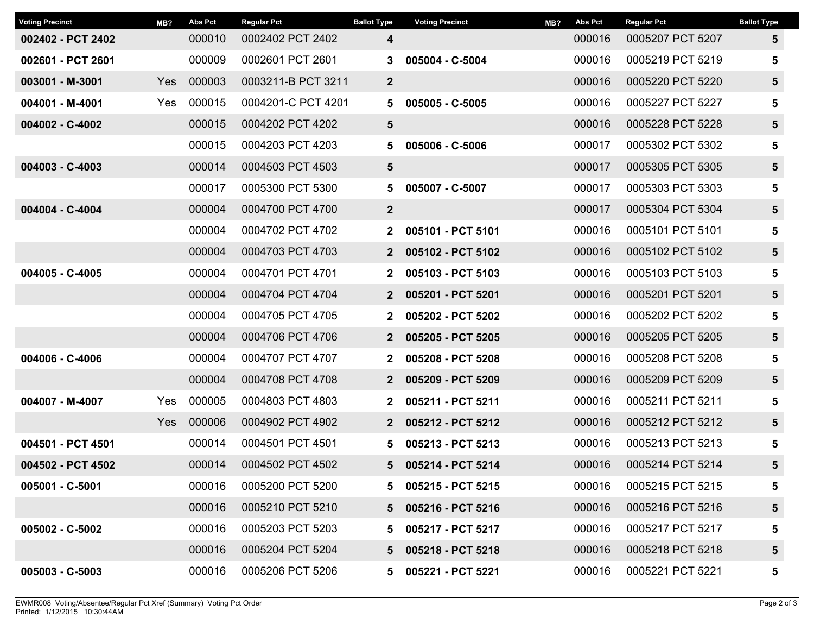| <b>Voting Precinct</b> | MB? | <b>Abs Pct</b> | <b>Regular Pct</b> | <b>Ballot Type</b> | <b>Voting Precinct</b> | MB? | <b>Abs Pct</b> | <b>Regular Pct</b> | <b>Ballot Type</b> |
|------------------------|-----|----------------|--------------------|--------------------|------------------------|-----|----------------|--------------------|--------------------|
| 002402 - PCT 2402      |     | 000010         | 0002402 PCT 2402   | 4                  |                        |     | 000016         | 0005207 PCT 5207   | 5                  |
| 002601 - PCT 2601      |     | 000009         | 0002601 PCT 2601   | 3                  | 005004 - C-5004        |     | 000016         | 0005219 PCT 5219   | 5                  |
| 003001 - M-3001        | Yes | 000003         | 0003211-B PCT 3211 | $\mathbf{2}$       |                        |     | 000016         | 0005220 PCT 5220   | $5\phantom{1}$     |
| 004001 - M-4001        | Yes | 000015         | 0004201-C PCT 4201 | 5                  | 005005 - C-5005        |     | 000016         | 0005227 PCT 5227   | 5                  |
| 004002 - C-4002        |     | 000015         | 0004202 PCT 4202   | 5                  |                        |     | 000016         | 0005228 PCT 5228   | $5\phantom{1}$     |
|                        |     | 000015         | 0004203 PCT 4203   | 5                  | 005006 - C-5006        |     | 000017         | 0005302 PCT 5302   | 5                  |
| 004003 - C-4003        |     | 000014         | 0004503 PCT 4503   | $5\phantom{1}$     |                        |     | 000017         | 0005305 PCT 5305   | $5\phantom{1}$     |
|                        |     | 000017         | 0005300 PCT 5300   | 5                  | 005007 - C-5007        |     | 000017         | 0005303 PCT 5303   | 5                  |
| 004004 - C-4004        |     | 000004         | 0004700 PCT 4700   | $\mathbf{2}$       |                        |     | 000017         | 0005304 PCT 5304   | $5\phantom{1}$     |
|                        |     | 000004         | 0004702 PCT 4702   | $\mathbf 2$        | 005101 - PCT 5101      |     | 000016         | 0005101 PCT 5101   | 5                  |
|                        |     | 000004         | 0004703 PCT 4703   | $\overline{2}$     | 005102 - PCT 5102      |     | 000016         | 0005102 PCT 5102   | $5\phantom{1}$     |
| 004005 - C-4005        |     | 000004         | 0004701 PCT 4701   | $\mathbf 2$        | 005103 - PCT 5103      |     | 000016         | 0005103 PCT 5103   | 5                  |
|                        |     | 000004         | 0004704 PCT 4704   | $\overline{2}$     | 005201 - PCT 5201      |     | 000016         | 0005201 PCT 5201   | $5\phantom{1}$     |
|                        |     | 000004         | 0004705 PCT 4705   | $\mathbf 2$        | 005202 - PCT 5202      |     | 000016         | 0005202 PCT 5202   | 5                  |
|                        |     | 000004         | 0004706 PCT 4706   | $\boldsymbol{2}$   | 005205 - PCT 5205      |     | 000016         | 0005205 PCT 5205   | $5\phantom{1}$     |
| 004006 - C-4006        |     | 000004         | 0004707 PCT 4707   | $\mathbf{2}$       | 005208 - PCT 5208      |     | 000016         | 0005208 PCT 5208   | 5                  |
|                        |     | 000004         | 0004708 PCT 4708   | $\mathbf{2}$       | 005209 - PCT 5209      |     | 000016         | 0005209 PCT 5209   | $5\phantom{1}$     |
| 004007 - M-4007        | Yes | 000005         | 0004803 PCT 4803   | $\mathbf{2}$       | 005211 - PCT 5211      |     | 000016         | 0005211 PCT 5211   | 5                  |
|                        | Yes | 000006         | 0004902 PCT 4902   | $\mathbf{2}$       | 005212 - PCT 5212      |     | 000016         | 0005212 PCT 5212   | $5\phantom{1}$     |
| 004501 - PCT 4501      |     | 000014         | 0004501 PCT 4501   | 5                  | 005213 - PCT 5213      |     | 000016         | 0005213 PCT 5213   | 5                  |
| 004502 - PCT 4502      |     | 000014         | 0004502 PCT 4502   | 5                  | 005214 - PCT 5214      |     | 000016         | 0005214 PCT 5214   | 5                  |
| 005001 - C-5001        |     | 000016         | 0005200 PCT 5200   | 5.                 | 005215 - PCT 5215      |     | 000016         | 0005215 PCT 5215   | 5                  |
|                        |     | 000016         | 0005210 PCT 5210   | 5                  | 005216 - PCT 5216      |     | 000016         | 0005216 PCT 5216   | 5                  |
| 005002 - C-5002        |     | 000016         | 0005203 PCT 5203   | 5                  | 005217 - PCT 5217      |     | 000016         | 0005217 PCT 5217   | 5                  |
|                        |     | 000016         | 0005204 PCT 5204   | 5                  | 005218 - PCT 5218      |     | 000016         | 0005218 PCT 5218   | 5                  |
| 005003 - C-5003        |     | 000016         | 0005206 PCT 5206   | 5                  | 005221 - PCT 5221      |     | 000016         | 0005221 PCT 5221   | 5                  |